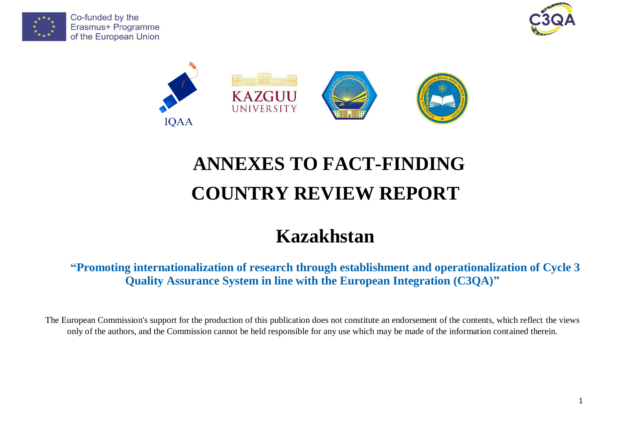





# **ANNEXES TO FACT-FINDING COUNTRY REVIEW REPORT**

# **Kazakhstan**

**"Promoting internationalization of research through establishment and operationalization of Cycle 3 Quality Assurance System in line with the European Integration (C3QA)"**

The European Commission's support for the production of this publication does not constitute an endorsement of the contents, which reflect the views only of the authors, and the Commission cannot be held responsible for any use which may be made of the information contained therein.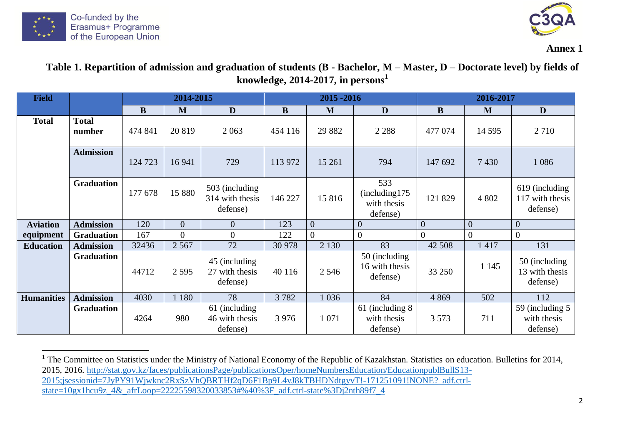



**Annex 1**

## Table 1. Repartition of admission and graduation of students (B - Bachelor, M – Master, D – Doctorate level) by fields of **knowledge, 2014-2017, in persons<sup>1</sup>**

| <b>Field</b>      |                        |         | 2014-2015      |                                               |          | 2015 - 2016    |                                                   |                | 2016-2017      |                                               |  |
|-------------------|------------------------|---------|----------------|-----------------------------------------------|----------|----------------|---------------------------------------------------|----------------|----------------|-----------------------------------------------|--|
|                   |                        | B       | M              | D                                             | $\bf{B}$ | M              | D                                                 | B              | M              | D                                             |  |
| <b>Total</b>      | <b>Total</b><br>number | 474 841 | 20 819         | 2 0 6 3                                       | 454 116  | 29 8 82        | 2 2 8 8                                           | 477 074        | 14 5 95        | 2 7 1 0                                       |  |
|                   | <b>Admission</b>       | 124 723 | 16 941         | 729                                           | 113 972  | 15 261         | 794                                               | 147 692        | 7430           | 1 0 8 6                                       |  |
|                   | <b>Graduation</b>      | 177 678 | 15 880         | 503 (including<br>314 with thesis<br>defense) | 146 227  | 15816          | 533<br>(including 175)<br>with thesis<br>defense) | 121 829        | 4 8 0 2        | 619 (including<br>117 with thesis<br>defense) |  |
| <b>Aviation</b>   | <b>Admission</b>       | 120     | $\overline{0}$ | $\overline{0}$                                | 123      | $\overline{0}$ | $\overline{0}$                                    | $\overline{0}$ | $\theta$       | $\overline{0}$                                |  |
| equipment         | <b>Graduation</b>      | 167     | $\overline{0}$ | $\overline{0}$                                | 122      | $\overline{0}$ | $\theta$                                          | $\overline{0}$ | $\overline{0}$ | $\overline{0}$                                |  |
| <b>Education</b>  | <b>Admission</b>       | 32436   | 2 5 6 7        | 72                                            | 30 978   | 2 1 3 0        | 83                                                | 42 508         | 1417           | 131                                           |  |
|                   | <b>Graduation</b>      | 44712   | 2 5 9 5        | 45 (including<br>27 with thesis<br>defense)   | 40 116   | 2 5 4 6        | 50 (including)<br>16 with thesis<br>defense)      | 33 250         | 1 1 4 5        | 50 (including)<br>13 with thesis<br>defense)  |  |
| <b>Humanities</b> | <b>Admission</b>       | 4030    | 1 1 8 0        | 78                                            | 3782     | 1 0 36         | 84                                                | 4 8 6 9        | 502            | 112                                           |  |
|                   | <b>Graduation</b>      | 4264    | 980            | 61 (including<br>46 with thesis<br>defense)   | 3 9 7 6  | 1 0 7 1        | 61 (including 8)<br>with thesis<br>defense)       | 3 5 7 3        | 711            | 59 (including 5)<br>with thesis<br>defense)   |  |

<sup>&</sup>lt;sup>1</sup> The Committee on Statistics under the Ministry of National Economy of the Republic of Kazakhstan. Statistics on education. Bulletins for 2014, 2015, 2016. [http://stat.gov.kz/faces/publicationsPage/publicationsOper/homeNumbersEducation/EducationpublBullS13-](http://stat.gov.kz/faces/publicationsPage/publicationsOper/homeNumbersEducation/EducationpublBullS13-2015;jsessionid=7JyPY91Wjwknc2RxSzVhQBRTHf2qD6F1Bp9L4vJ8kTBHDNdtgyvT!-171251091!NONE?_adf.ctrl-state=10gx1hcu9z_4&_afrLoop=22225598320033853#%40%3F_adf.ctrl-state%3Dj2nth89f7_4) [2015;jsessionid=7JyPY91Wjwknc2RxSzVhQBRTHf2qD6F1Bp9L4vJ8kTBHDNdtgyvT!-171251091!NONE?\\_adf.ctrl-](http://stat.gov.kz/faces/publicationsPage/publicationsOper/homeNumbersEducation/EducationpublBullS13-2015;jsessionid=7JyPY91Wjwknc2RxSzVhQBRTHf2qD6F1Bp9L4vJ8kTBHDNdtgyvT!-171251091!NONE?_adf.ctrl-state=10gx1hcu9z_4&_afrLoop=22225598320033853#%40%3F_adf.ctrl-state%3Dj2nth89f7_4) $\frac{1}{3}$ [state=10gx1hcu9z\\_4&\\_afrLoop=22225598320033853#%40%3F\\_adf.ctrl-state%3Dj2nth89f7\\_4](http://stat.gov.kz/faces/publicationsPage/publicationsOper/homeNumbersEducation/EducationpublBullS13-2015;jsessionid=7JyPY91Wjwknc2RxSzVhQBRTHf2qD6F1Bp9L4vJ8kTBHDNdtgyvT!-171251091!NONE?_adf.ctrl-state=10gx1hcu9z_4&_afrLoop=22225598320033853#%40%3F_adf.ctrl-state%3Dj2nth89f7_4)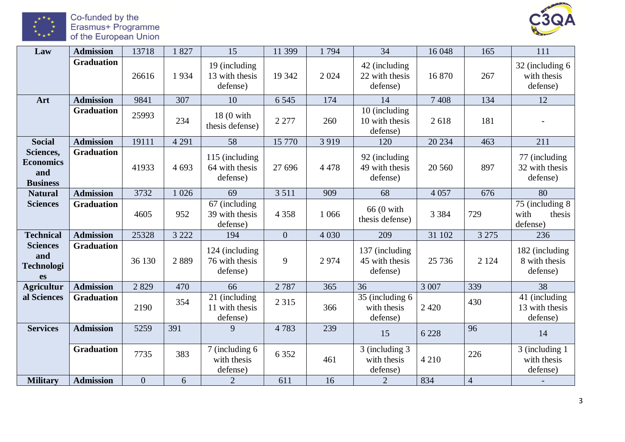

Co-funded by the<br>Erasmus+ Programme<br>of the European Union



| Law                                                      | <b>Admission</b>  | 13718          | 1827    | 15                                           | 11 399         | 1794    | 34                                           | 16 048  | 165            | 111                                            |
|----------------------------------------------------------|-------------------|----------------|---------|----------------------------------------------|----------------|---------|----------------------------------------------|---------|----------------|------------------------------------------------|
|                                                          | <b>Graduation</b> | 26616          | 1934    | 19 (including<br>13 with thesis<br>defense)  | 19 342         | 2 0 2 4 | 42 (including<br>22 with thesis<br>defense)  | 16 870  | 267            | 32 (including 6)<br>with thesis<br>defense)    |
| Art                                                      | <b>Admission</b>  | 9841           | 307     | 10                                           | 6 5 4 5        | 174     | 14                                           | 7 4 0 8 | 134            | 12                                             |
|                                                          | <b>Graduation</b> | 25993          | 234     | 18 (0 with<br>thesis defense)                | 2 2 7 7        | 260     | 10 (including<br>10 with thesis<br>defense)  | 2618    | 181            |                                                |
| <b>Social</b>                                            | <b>Admission</b>  | 19111          | 4 2 9 1 | 58                                           | 15 770         | 3 9 1 9 | 120                                          | 20 234  | 463            | 211                                            |
| Sciences,<br><b>Economics</b><br>and<br><b>Business</b>  | <b>Graduation</b> | 41933          | 4 6 9 3 | 115 (including<br>64 with thesis<br>defense) | 27 69 6        | 4 4 7 8 | 92 (including<br>49 with thesis<br>defense)  | 20 560  | 897            | 77 (including<br>32 with thesis<br>defense)    |
| <b>Natural</b>                                           | <b>Admission</b>  | 3732           | 1 0 2 6 | 69                                           | 3 5 1 1        | 909     | 68                                           | 4 0 5 7 | 676            | 80                                             |
| <b>Sciences</b>                                          | <b>Graduation</b> | 4605           | 952     | 67 (including<br>39 with thesis<br>defense)  | 4 3 5 8        | 1 0 6 6 | 66 (0 with<br>thesis defense)                | 3 3 8 4 | 729            | 75 (including 8)<br>with<br>thesis<br>defense) |
| <b>Technical</b>                                         | <b>Admission</b>  | 25328          | 3 2 2 2 | 194                                          | $\overline{0}$ | 4 0 30  | 209                                          | 31 102  | 3 2 7 5        | 236                                            |
| <b>Sciences</b><br>and<br><b>Technologi</b><br><b>es</b> | <b>Graduation</b> | 36 130         | 2889    | 124 (including<br>76 with thesis<br>defense) | 9              | 2974    | 137 (including<br>45 with thesis<br>defense) | 25 7 36 | 2 1 2 4        | 182 (including<br>8 with thesis<br>defense)    |
| <b>Agricultur</b>                                        | <b>Admission</b>  | 2829           | 470     | 66                                           | 2787           | 365     | 36                                           | 3 0 0 7 | 339            | 38                                             |
| al Sciences                                              | <b>Graduation</b> | 2190           | 354     | 21 (including<br>11 with thesis<br>defense)  | 2 3 1 5        | 366     | 35 (including 6)<br>with thesis<br>defense)  | 2 4 2 0 | 430            | 41 (including<br>13 with thesis<br>defense)    |
| <b>Services</b>                                          | <b>Admission</b>  | 5259           | 391     | 9                                            | 4783           | 239     | 15                                           | 6 2 2 8 | 96             | 14                                             |
|                                                          | <b>Graduation</b> | 7735           | 383     | 7 (including 6)<br>with thesis<br>defense)   | 6 3 5 2        | 461     | 3 (including 3)<br>with thesis<br>defense)   | 4 2 1 0 | 226            | 3 (including 1)<br>with thesis<br>defense)     |
| <b>Military</b>                                          | <b>Admission</b>  | $\overline{0}$ | 6       | $\overline{2}$                               | 611            | 16      | $\overline{2}$                               | 834     | $\overline{4}$ |                                                |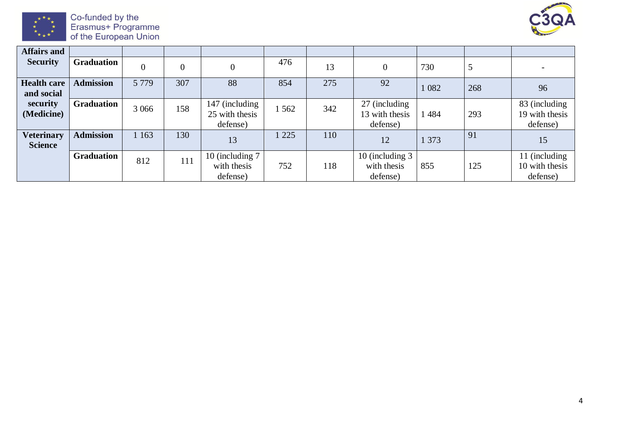

Co-funded by the<br>Erasmus+ Programme<br>of the European Union



| <b>Affairs and</b>                  |                   |                |                |                                              |     |     |                                             |       |     |                                             |
|-------------------------------------|-------------------|----------------|----------------|----------------------------------------------|-----|-----|---------------------------------------------|-------|-----|---------------------------------------------|
| <b>Security</b>                     | <b>Graduation</b> | $\overline{0}$ | $\overline{0}$ |                                              | 476 | 13  |                                             | 730   | 5   | $\overline{\phantom{a}}$                    |
| <b>Health care</b><br>and social    | <b>Admission</b>  | 5 7 7 9        | 307            | 88                                           | 854 | 275 | 92                                          | 082   | 268 | 96                                          |
| security<br>(Medicine)              | <b>Graduation</b> | 3 0 6 6        | 158            | 147 (including<br>25 with thesis<br>defense) | 562 | 342 | 27 (including<br>13 with thesis<br>defense) | 484   | 293 | 83 (including<br>19 with thesis<br>defense) |
| <b>Veterinary</b><br><b>Science</b> | <b>Admission</b>  | 1 1 6 3        | 130            | 13                                           | 225 | 110 | 12                                          | 1 373 | 91  | 15                                          |
|                                     | <b>Graduation</b> | 812            | 111            | 10 (including 7)<br>with thesis<br>defense)  | 752 | 118 | 10 (including 3)<br>with thesis<br>defense) | 855   | 125 | 11 (including<br>10 with thesis<br>defense) |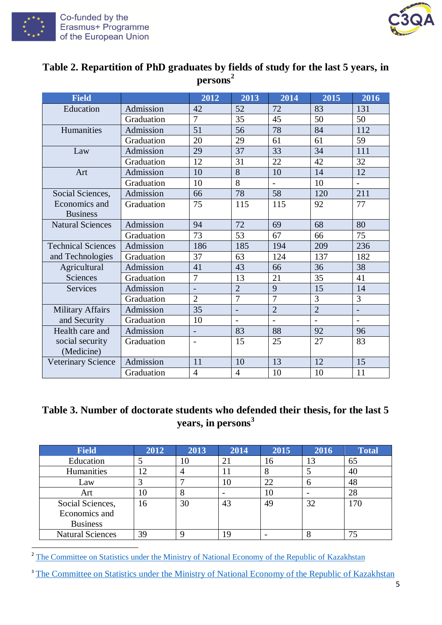

 $\overline{a}$ 



| <b>Field</b>              |            | 2012                     | 2013                     | 2014           | 2015           | 2016                 |
|---------------------------|------------|--------------------------|--------------------------|----------------|----------------|----------------------|
| Education                 | Admission  | 42                       | 52                       | 72             | 83             | 131                  |
|                           | Graduation | $\overline{7}$           | 35                       | 45             | 50             | 50                   |
| Humanities                | Admission  | 51                       | 56                       | 78             | 84             | 112                  |
|                           | Graduation | 20                       | 29                       | 61             | 61             | 59                   |
| Law                       | Admission  | 29                       | 37                       | 33             | 34             | 111                  |
|                           | Graduation | 12                       | 31                       | 22             | 42             | 32                   |
| Art                       | Admission  | 10                       | 8                        | 10             | 14             | 12                   |
|                           | Graduation | 10                       | 8                        | $\overline{a}$ | 10             | $\overline{a}$       |
| Social Sciences,          | Admission  | 66                       | 78                       | 58             | 120            | 211                  |
| Economics and             | Graduation | 75                       | 115                      | 115            | 92             | 77                   |
| <b>Business</b>           |            |                          |                          |                |                |                      |
| <b>Natural Sciences</b>   | Admission  | 94                       | 72                       | 69             | 68             | 80                   |
|                           | Graduation | 73                       | 53                       | 67             | 66             | 75                   |
| <b>Technical Sciences</b> | Admission  | 186                      | 185                      | 194            | 209            | 236                  |
| and Technologies          | Graduation | 37                       | 63                       | 124            | 137            | 182                  |
| Agricultural              | Admission  | 41                       | 43                       | 66             | 36             | 38                   |
| Sciences                  | Graduation | 7                        | 13                       | 21             | 35             | 41                   |
| <b>Services</b>           | Admission  | $\overline{\phantom{a}}$ | $\overline{2}$           | 9              | 15             | 14                   |
|                           | Graduation | $\overline{2}$           | $\overline{7}$           | $\overline{7}$ | $\overline{3}$ | $\overline{3}$       |
| <b>Military Affairs</b>   | Admission  | 35                       | $\overline{\phantom{0}}$ | $\overline{2}$ | $\overline{2}$ | $\frac{1}{\sqrt{2}}$ |
| and Security              | Graduation | 10                       | $\overline{a}$           | $\overline{a}$ |                | $\overline{a}$       |
| Health care and           | Admission  | $\overline{\phantom{0}}$ | 83                       | 88             | 92             | 96                   |
| social security           | Graduation | $\overline{\phantom{a}}$ | 15                       | 25             | 27             | 83                   |
| (Medicine)                |            |                          |                          |                |                |                      |
| <b>Veterinary Science</b> | Admission  | 11                       | 10                       | 13             | 12             | 15                   |
|                           | Graduation | $\overline{4}$           | $\overline{4}$           | 10             | 10             | 11                   |

## **Table 2. Repartition of PhD graduates by fields of study for the last 5 years, in persons<sup>2</sup>**

## **Table 3. Number of doctorate students who defended their thesis, for the last 5 years, in persons<sup>3</sup>**

| <b>Field</b>            | 2012 | 2013 | 2014 | 2015 | 2016 | <b>Total</b> |
|-------------------------|------|------|------|------|------|--------------|
| Education               |      | 10   | 21   | 16   | 13   | 65           |
| Humanities              | 12   | 4    |      | 8    |      | 40           |
| Law                     |      |      | 10   | 22   |      | 48           |
| Art                     | 10   | Ô    |      | 10   |      | 28           |
| Social Sciences,        | 16   | 30   | 43   | 49   | 32   | 170          |
| Economics and           |      |      |      |      |      |              |
| <b>Business</b>         |      |      |      |      |      |              |
| <b>Natural Sciences</b> | 39   |      | 19   |      |      | 75           |

<sup>2</sup> [The Committee on Statistics under the Ministry of National Economy of the Republic of Kazakhstan](http://www.stat.gov.kz/faces/wcnav_externalId/homeNumbersEducation?_afrLoop=20756203780859287#%40%3F_afrLoop%3D20756203780859287%26_adf.ctrl-state%3Dbbjkb6c5y_50)

<sup>3</sup> The Committee on Statistics under the Ministry of National Economy of the Republic of Kazakhstan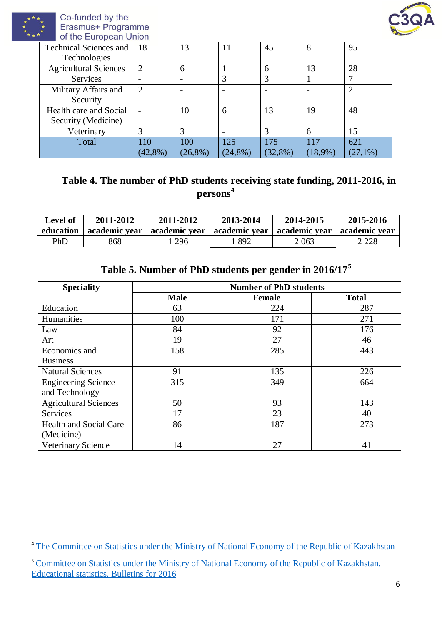

 $\overline{a}$ 



| $\sim$ $\sim$ $\sim$ $\sim$ $\sim$ $\sim$ |            |            |         |            |                |
|-------------------------------------------|------------|------------|---------|------------|----------------|
| 18                                        | 13         | 11         | 45      | 8          | 95             |
|                                           |            |            |         |            |                |
| 2                                         | 6          |            | 6       | 13         | 28             |
|                                           |            | 3          | 3       |            | 7              |
| 2                                         |            |            |         |            | $\overline{2}$ |
|                                           |            |            |         |            |                |
|                                           | 10         | 6          | 13      | 19         | 48             |
|                                           |            |            |         |            |                |
| 3                                         | 3          |            |         | 6          | 15             |
| 110                                       | 100        | 125        | 175     | 117        | 621            |
| $(42,8\%)$                                | $(26,8\%)$ | $(24,8\%)$ | (32,8%) | $(18,9\%)$ | (27,1%)        |
|                                           |            |            |         |            |                |

## **Table 4. The number of PhD students receiving state funding, 2011-2016, in persons<sup>4</sup>**

| <b>Level of</b><br>education | 2011-2012 | 2011-2012<br>academic year   academic year   academic year   academic year | 2013-2014 | 2014-2015 | 2015-2016<br>  academic vear |
|------------------------------|-----------|----------------------------------------------------------------------------|-----------|-----------|------------------------------|
| PhD                          | 868       | 296                                                                        | 892       | 2 0 6 3   | 2 2 2 8                      |

## **Table 5. Number of PhD students per gender in 2016/17<sup>5</sup>**

| <b>Speciality</b>             | <b>Number of PhD students</b> |               |              |  |  |  |  |
|-------------------------------|-------------------------------|---------------|--------------|--|--|--|--|
|                               | <b>Male</b>                   | <b>Female</b> | <b>Total</b> |  |  |  |  |
| Education                     | 63                            | 224           | 287          |  |  |  |  |
| Humanities                    | 100                           | 171           | 271          |  |  |  |  |
| Law                           | 84                            | 92            | 176          |  |  |  |  |
| Art                           | 19                            | 27            | 46           |  |  |  |  |
| Economics and                 | 158                           | 285           | 443          |  |  |  |  |
| <b>Business</b>               |                               |               |              |  |  |  |  |
| <b>Natural Sciences</b>       | 91                            | 135           | 226          |  |  |  |  |
| <b>Engineering Science</b>    | 315                           | 349           | 664          |  |  |  |  |
| and Technology                |                               |               |              |  |  |  |  |
| <b>Agricultural Sciences</b>  | 50                            | 93            | 143          |  |  |  |  |
| <b>Services</b>               | 17                            | 23            | 40           |  |  |  |  |
| <b>Health and Social Care</b> | 86                            | 187           | 273          |  |  |  |  |
| (Medicine)                    |                               |               |              |  |  |  |  |
| <b>Veterinary Science</b>     | 14                            | 27            | 41           |  |  |  |  |

<sup>&</sup>lt;sup>4</sup> The Committee on Statistics [under the Ministry of National Economy of the Republic of Kazakhstan](http://www.stat.gov.kz/faces/wcnav_externalId/homeNumbersEducation?_afrLoop=20756203780859287#%40%3F_afrLoop%3D20756203780859287%26_adf.ctrl-state%3Dbbjkb6c5y_50)

<sup>5</sup> [Committee on Statistics under the Ministry of National Economy of the Republic of Kazakhstan.](http://stat.gov.kz/faces/wcnav_externalId/EducationpublBullS13-2016?_afrLoop=10678063282126915#%40%3F_afrLoop%3D10678063282126915%26_adf.ctrl-state%3D10kobbk8ye_43)  [Educational statistics. Bulletins for 2016](http://stat.gov.kz/faces/wcnav_externalId/EducationpublBullS13-2016?_afrLoop=10678063282126915#%40%3F_afrLoop%3D10678063282126915%26_adf.ctrl-state%3D10kobbk8ye_43)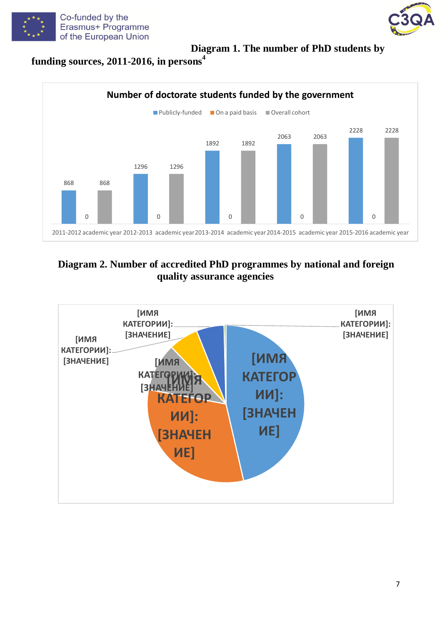



## **Diagram 1. The number of PhD students by**





## **Diagram 2. Number of accredited PhD programmes by national and foreign quality assurance agencies**

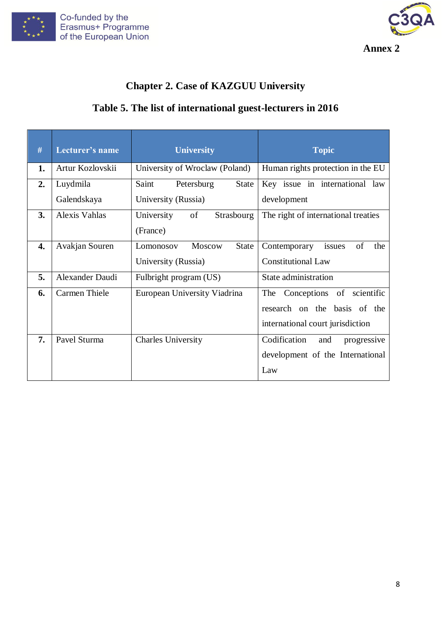



## **Chapter 2. Case of KAZGUU University**

## **Table 5. The list of international guest-lecturers in 2016**

| #  | Lecturer's name        | <b>University</b>                     | <b>Topic</b>                        |
|----|------------------------|---------------------------------------|-------------------------------------|
| 1. | Artur Kozlovskii       | University of Wroclaw (Poland)        | Human rights protection in the EU   |
| 2. | Luydmila               | Saint<br>Petersburg<br>State          | Key issue in international law      |
|    | Galendskaya            | University (Russia)                   | development                         |
| 3. | Alexis Vahlas          | University<br>of<br><b>Strasbourg</b> | The right of international treaties |
|    |                        | (France)                              |                                     |
| 4. | Avakjan Souren         | Moscow<br><b>State</b><br>Lomonosov   | issues<br>of<br>Contemporary<br>the |
|    |                        | University (Russia)                   | <b>Constitutional Law</b>           |
| 5. | <b>Alexander Daudi</b> | Fulbright program (US)                | State administration                |
| 6. | <b>Carmen Thiele</b>   | European University Viadrina          | The Conceptions of scientific       |
|    |                        |                                       | research on the basis of the        |
|    |                        |                                       | international court jurisdiction    |
| 7. | Pavel Sturma           | <b>Charles University</b>             | Codification<br>and<br>progressive  |
|    |                        |                                       | development of the International    |
|    |                        |                                       | Law                                 |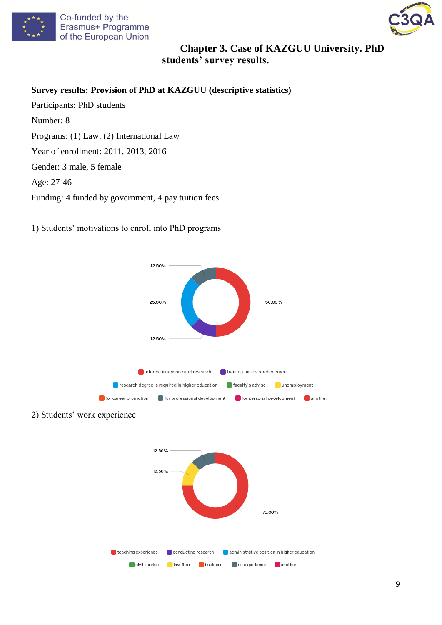



## **Chapter 3. Case of KAZGUU University. PhD students' survey results.**

**Survey results: Provision of PhD at KAZGUU (descriptive statistics)**

- Participants: PhD students Number: 8 Programs: (1) Law; (2) International Law Year of enrollment: 2011, 2013, 2016 Gender: 3 male, 5 female Age: 27-46 Funding: 4 funded by government, 4 pay tuition fees
- 1) Students' motivations to enroll into PhD programs



2) Students' work experience

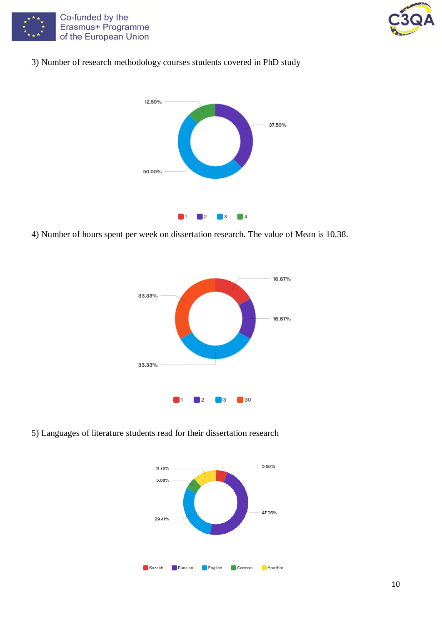



## 3) Number of research methodology courses students covered in PhD study



4) Number of hours spent per week on dissertation research. The value of Mean is 10.38.



5) Languages of literature students read for their dissertation research

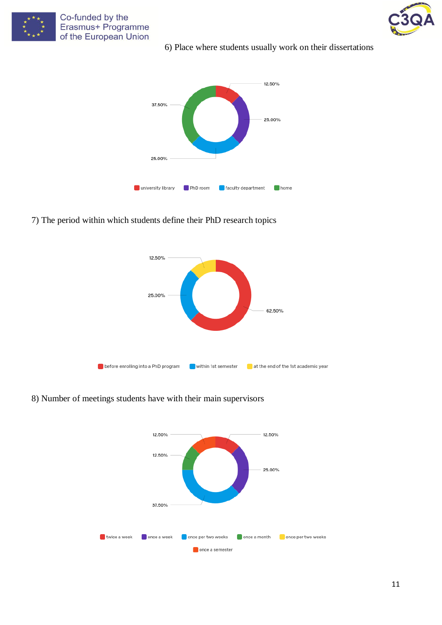

Co-funded by the Erasmus+ Programme of the European Union





## 7) The period within which students define their PhD research topics



8) Number of meetings students have with their main supervisors

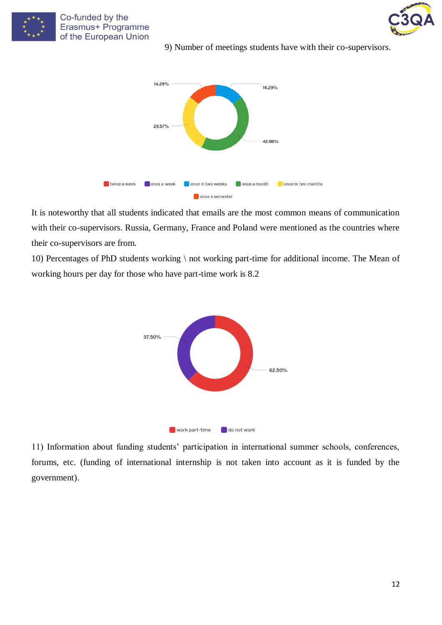

Co-funded by the Erasmus+ Programme of the European Union

9) Number of meetings students have with their co-supervisors.



It is noteworthy that all students indicated that emails are the most common means of communication with their co-supervisors. Russia, Germany, France and Poland were mentioned as the countries where their co-supervisors are from.

10) Percentages of PhD students working \ not working part-time for additional income. The Mean of working hours per day for those who have part-time work is 8.2



11) Information about funding students' participation in international summer schools, conferences, forums, etc. (funding of international internship is not taken into account as it is funded by the government).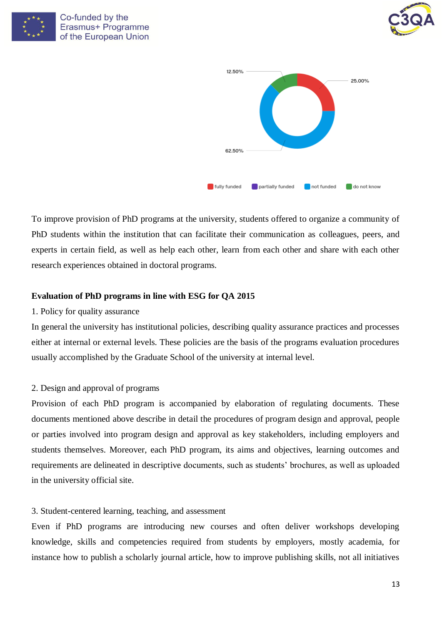





To improve provision of PhD programs at the university, students offered to organize a community of PhD students within the institution that can facilitate their communication as colleagues, peers, and experts in certain field, as well as help each other, learn from each other and share with each other research experiences obtained in doctoral programs.

### **Evaluation of PhD programs in line with ESG for QA 2015**

#### 1. Policy for quality assurance

In general the university has institutional policies, describing quality assurance practices and processes either at internal or external levels. These policies are the basis of the programs evaluation procedures usually accomplished by the Graduate School of the university at internal level.

## 2. Design and approval of programs

Provision of each PhD program is accompanied by elaboration of regulating documents. These documents mentioned above describe in detail the procedures of program design and approval, people or parties involved into program design and approval as key stakeholders, including employers and students themselves. Moreover, each PhD program, its aims and objectives, learning outcomes and requirements are delineated in descriptive documents, such as students' brochures, as well as uploaded in the university official site.

#### 3. Student-centered learning, teaching, and assessment

Even if PhD programs are introducing new courses and often deliver workshops developing knowledge, skills and competencies required from students by employers, mostly academia, for instance how to publish a scholarly journal article, how to improve publishing skills, not all initiatives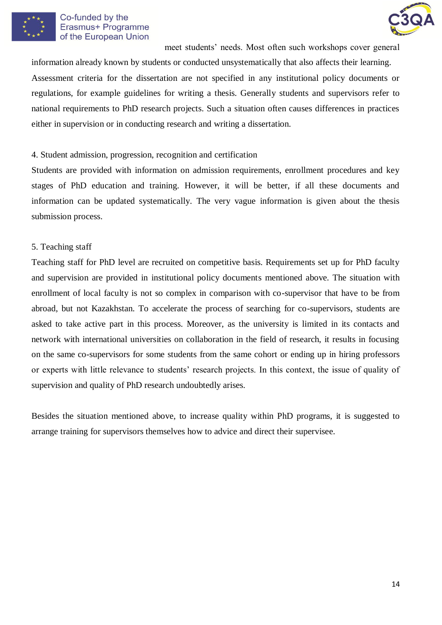

#### Co-funded by the Erasmus+ Programme of the European Union

meet students' needs. Most often such workshops cover general

information already known by students or conducted unsystematically that also affects their learning. Assessment criteria for the dissertation are not specified in any institutional policy documents or regulations, for example guidelines for writing a thesis. Generally students and supervisors refer to national requirements to PhD research projects. Such a situation often causes differences in practices either in supervision or in conducting research and writing a dissertation.

## 4. Student admission, progression, recognition and certification

Students are provided with information on admission requirements, enrollment procedures and key stages of PhD education and training. However, it will be better, if all these documents and information can be updated systematically. The very vague information is given about the thesis submission process.

### 5. Teaching staff

Teaching staff for PhD level are recruited on competitive basis. Requirements set up for PhD faculty and supervision are provided in institutional policy documents mentioned above. The situation with enrollment of local faculty is not so complex in comparison with co-supervisor that have to be from abroad, but not Kazakhstan. To accelerate the process of searching for co-supervisors, students are asked to take active part in this process. Moreover, as the university is limited in its contacts and network with international universities on collaboration in the field of research, it results in focusing on the same co-supervisors for some students from the same cohort or ending up in hiring professors or experts with little relevance to students' research projects. In this context, the issue of quality of supervision and quality of PhD research undoubtedly arises.

Besides the situation mentioned above, to increase quality within PhD programs, it is suggested to arrange training for supervisors themselves how to advice and direct their supervisee.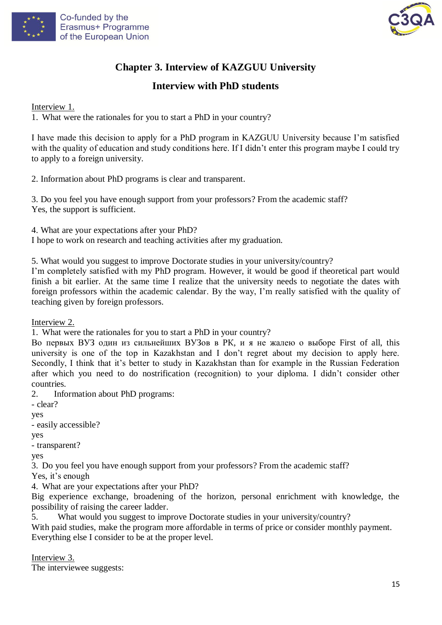



## **Chapter 3. Interview of KAZGUU University**

## **Interview with PhD students**

Interview 1.

1. What were the rationales for you to start a PhD in your country?

I have made this decision to apply for a PhD program in KAZGUU University because I'm satisfied with the quality of education and study conditions here. If I didn't enter this program maybe I could try to apply to a foreign university.

2. Information about PhD programs is clear and transparent.

3. Do you feel you have enough support from your professors? From the academic staff? Yes, the support is sufficient.

4. What are your expectations after your PhD? I hope to work on research and teaching activities after my graduation.

5. What would you suggest to improve Doctorate studies in your university/country?

I'm completely satisfied with my PhD program. However, it would be good if theoretical part would finish a bit earlier. At the same time I realize that the university needs to negotiate the dates with foreign professors within the academic calendar. By the way, I'm really satisfied with the quality of teaching given by foreign professors.

Interview 2.

1. What were the rationales for you to start a PhD in your country?

Во первых ВУЗ один из сильнейших ВУЗов в РК, и я не жалею о выборе First of all, this university is one of the top in Kazakhstan and I don't regret about my decision to apply here. Secondly, I think that it's better to study in Kazakhstan than for example in the Russian Federation after which you need to do nostrification (recognition) to your diploma. I didn't consider other countries.

2. Information about PhD programs:

- clear?

yes

- easily accessible?

yes

- transparent?

yes

3. Do you feel you have enough support from your professors? From the academic staff?

Yes, it's enough

4. What are your expectations after your PhD?

Big experience exchange, broadening of the horizon, personal enrichment with knowledge, the possibility of raising the career ladder.

5. What would you suggest to improve Doctorate studies in your university/country?

With paid studies, make the program more affordable in terms of price or consider monthly payment. Everything else I consider to be at the proper level.

Interview 3. The interviewee suggests: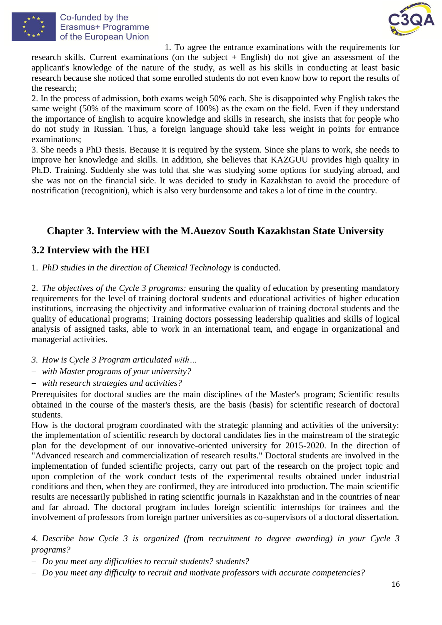



1. To agree the entrance examinations with the requirements for research skills. Current examinations (on the subject + English) do not give an assessment of the applicant's knowledge of the nature of the study, as well as his skills in conducting at least basic research because she noticed that some enrolled students do not even know how to report the results of the research;

2. In the process of admission, both exams weigh 50% each. She is disappointed why English takes the same weight (50% of the maximum score of 100%) as the exam on the field. Even if they understand the importance of English to acquire knowledge and skills in research, she insists that for people who do not study in Russian. Thus, a foreign language should take less weight in points for entrance examinations;

3. She needs a PhD thesis. Because it is required by the system. Since she plans to work, she needs to improve her knowledge and skills. In addition, she believes that KAZGUU provides high quality in Ph.D. Training. Suddenly she was told that she was studying some options for studying abroad, and she was not on the financial side. It was decided to study in Kazakhstan to avoid the procedure of nostrification (recognition), which is also very burdensome and takes a lot of time in the country.

## **Chapter 3. Interview with the M.Auezov South Kazakhstan State University**

## **3.2 Interview with the HEI**

1. *PhD studies in the direction of Chemical Technology* is conducted.

2. *The objectives of the Cycle 3 programs:* ensuring the quality of education by presenting mandatory requirements for the level of training doctoral students and educational activities of higher education institutions, increasing the objectivity and informative evaluation of training doctoral students and the quality of educational programs; Training doctors possessing leadership qualities and skills of logical analysis of assigned tasks, able to work in an international team, and engage in organizational and managerial activities.

- *3. How is Cycle 3 Program articulated with…*
- *with Master programs of your university?*
- *with research strategies and activities?*

Prerequisites for doctoral studies are the main disciplines of the Master's program; Scientific results obtained in the course of the master's thesis, are the basis (basis) for scientific research of doctoral students.

How is the doctoral program coordinated with the strategic planning and activities of the university: the implementation of scientific research by doctoral candidates lies in the mainstream of the strategic plan for the development of our innovative-oriented university for 2015-2020. In the direction of "Advanced research and commercialization of research results." Doctoral students are involved in the implementation of funded scientific projects, carry out part of the research on the project topic and upon completion of the work conduct tests of the experimental results obtained under industrial conditions and then, when they are confirmed, they are introduced into production. The main scientific results are necessarily published in rating scientific journals in Kazakhstan and in the countries of near and far abroad. The doctoral program includes foreign scientific internships for trainees and the involvement of professors from foreign partner universities as co-supervisors of a doctoral dissertation.

*4. Describe how Cycle 3 is organized (from recruitment to degree awarding) in your Cycle 3 programs?*

- *Do you meet any difficulties to recruit students? students?*
- *Do you meet any difficulty to recruit and motivate professors with accurate competencies?*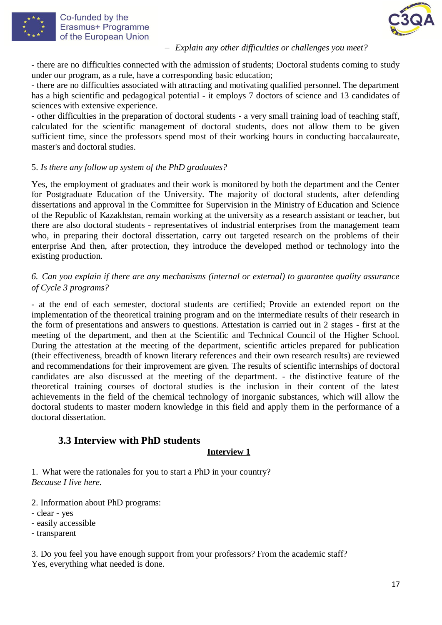



#### *Explain any other difficulties or challenges you meet?*

- there are no difficulties connected with the admission of students; Doctoral students coming to study under our program, as a rule, have a corresponding basic education;

- there are no difficulties associated with attracting and motivating qualified personnel. The department has a high scientific and pedagogical potential - it employs 7 doctors of science and 13 candidates of sciences with extensive experience.

- other difficulties in the preparation of doctoral students - a very small training load of teaching staff, calculated for the scientific management of doctoral students, does not allow them to be given sufficient time, since the professors spend most of their working hours in conducting baccalaureate, master's and doctoral studies.

#### 5. *Is there any follow up system of the PhD graduates?*

Yes, the employment of graduates and their work is monitored by both the department and the Center for Postgraduate Education of the University. The majority of doctoral students, after defending dissertations and approval in the Committee for Supervision in the Ministry of Education and Science of the Republic of Kazakhstan, remain working at the university as a research assistant or teacher, but there are also doctoral students - representatives of industrial enterprises from the management team who, in preparing their doctoral dissertation, carry out targeted research on the problems of their enterprise And then, after protection, they introduce the developed method or technology into the existing production.

## *6. Can you explain if there are any mechanisms (internal or external) to guarantee quality assurance of Cycle 3 programs?*

- at the end of each semester, doctoral students are certified; Provide an extended report on the implementation of the theoretical training program and on the intermediate results of their research in the form of presentations and answers to questions. Attestation is carried out in 2 stages - first at the meeting of the department, and then at the Scientific and Technical Council of the Higher School. During the attestation at the meeting of the department, scientific articles prepared for publication (their effectiveness, breadth of known literary references and their own research results) are reviewed and recommendations for their improvement are given. The results of scientific internships of doctoral candidates are also discussed at the meeting of the department. - the distinctive feature of the theoretical training courses of doctoral studies is the inclusion in their content of the latest achievements in the field of the chemical technology of inorganic substances, which will allow the doctoral students to master modern knowledge in this field and apply them in the performance of a doctoral dissertation.

## **3.3 Interview with PhD students**

## **Interview 1**

1. What were the rationales for you to start a PhD in your country? *Because I live here.*

2. Information about PhD programs:

- clear - yes

- easily accessible

- transparent

3. Do you feel you have enough support from your professors? From the academic staff? Yes, everything what needed is done.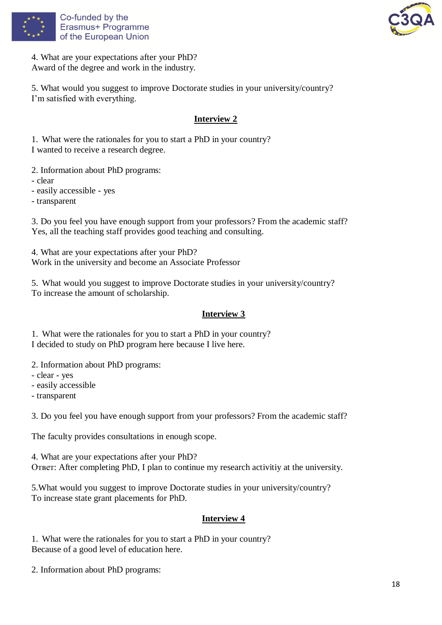



4. What are your expectations after your PhD? Award of the degree and work in the industry.

5. What would you suggest to improve Doctorate studies in your university/country? I'm satisfied with everything.

## **Interview 2**

1. What were the rationales for you to start a PhD in your country? I wanted to receive a research degree.

2. Information about PhD programs:

- clear

- easily accessible - yes

- transparent

3. Do you feel you have enough support from your professors? From the academic staff? Yes, all the teaching staff provides good teaching and consulting.

4. What are your expectations after your PhD? Work in the university and become an Associate Professor

5. What would you suggest to improve Doctorate studies in your university/country? To increase the amount of scholarship.

## **Interview 3**

1. What were the rationales for you to start a PhD in your country? I decided to study on PhD program here because I live here.

2. Information about PhD programs:

- clear - yes

- easily accessible

- transparent

3. Do you feel you have enough support from your professors? From the academic staff?

The faculty provides consultations in enough scope.

4. What are your expectations after your PhD? Ответ: After completing PhD, I plan to continue my research activitiy at the university.

5.What would you suggest to improve Doctorate studies in your university/country? To increase state grant placements for PhD.

## **Interview 4**

1. What were the rationales for you to start a PhD in your country? Because of a good level of education here.

2. Information about PhD programs: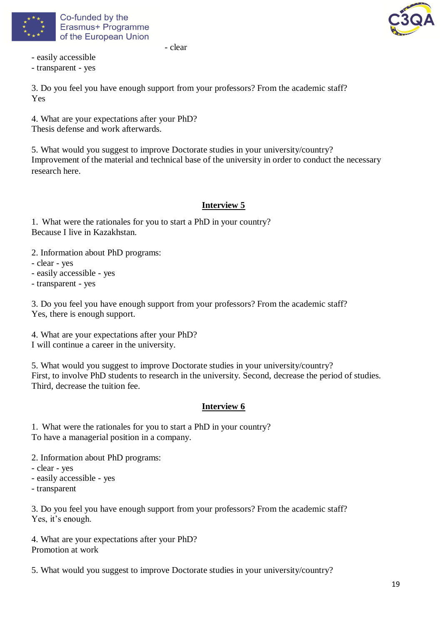



- clear

- easily accessible

- transparent - yes

3. Do you feel you have enough support from your professors? From the academic staff? Yes

4. What are your expectations after your PhD? Thesis defense and work afterwards.

5. What would you suggest to improve Doctorate studies in your university/country? Improvement of the material and technical base of the university in order to conduct the necessary research here.

## **Interview 5**

1. What were the rationales for you to start a PhD in your country? Because I live in Kazakhstan.

- 2. Information about PhD programs:
- clear yes
- easily accessible yes
- transparent yes

3. Do you feel you have enough support from your professors? From the academic staff? Yes, there is enough support.

4. What are your expectations after your PhD? I will continue a career in the university.

5. What would you suggest to improve Doctorate studies in your university/country? First, to involve PhD students to research in the university. Second, decrease the period of studies. Third, decrease the tuition fee.

## **Interview 6**

1. What were the rationales for you to start a PhD in your country? To have a managerial position in a company.

2. Information about PhD programs:

- clear yes
- easily accessible yes
- transparent

3. Do you feel you have enough support from your professors? From the academic staff? Yes, it's enough.

4. What are your expectations after your PhD? Promotion at work

5. What would you suggest to improve Doctorate studies in your university/country?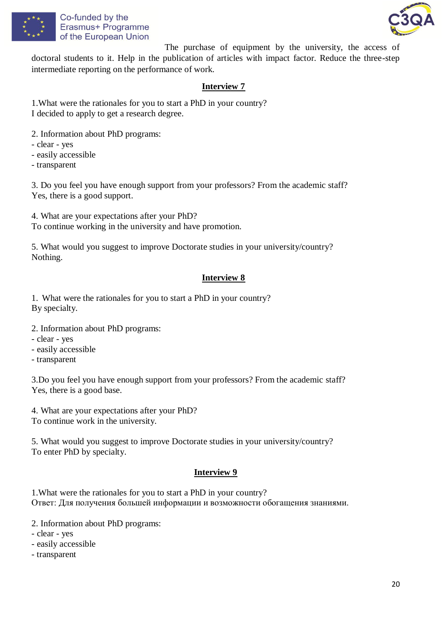



The purchase of equipment by the university, the access of doctoral students to it. Help in the publication of articles with impact factor. Reduce the three-step intermediate reporting on the performance of work.

## **Interview 7**

1.What were the rationales for you to start a PhD in your country? I decided to apply to get a research degree.

- 2. Information about PhD programs:
- clear yes
- easily accessible
- transparent

3. Do you feel you have enough support from your professors? From the academic staff? Yes, there is a good support.

4. What are your expectations after your PhD? To continue working in the university and have promotion.

5. What would you suggest to improve Doctorate studies in your university/country? Nothing.

## **Interview 8**

1. What were the rationales for you to start a PhD in your country? By specialty.

- 2. Information about PhD programs:
- clear yes
- easily accessible
- transparent

3.Do you feel you have enough support from your professors? From the academic staff? Yes, there is a good base.

4. What are your expectations after your PhD? To continue work in the university.

5. What would you suggest to improve Doctorate studies in your university/country? To enter PhD by specialty.

## **Interview 9**

1.What were the rationales for you to start a PhD in your country? Ответ: Для получения большей информации и возможности обогащения знаниями.

2. Information about PhD programs:

- clear - yes

- easily accessible
- transparent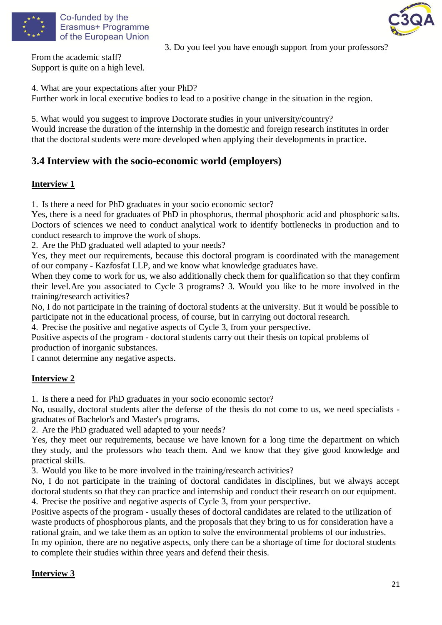



3. Do you feel you have enough support from your professors?

From the academic staff? Support is quite on a high level.

4. What are your expectations after your PhD? Further work in local executive bodies to lead to a positive change in the situation in the region.

5. What would you suggest to improve Doctorate studies in your university/country? Would increase the duration of the internship in the domestic and foreign research institutes in order that the doctoral students were more developed when applying their developments in practice.

## **3.4 Interview with the socio-economic world (employers)**

## **Interview 1**

1. Is there a need for PhD graduates in your socio economic sector?

Yes, there is a need for graduates of PhD in phosphorus, thermal phosphoric acid and phosphoric salts. Doctors of sciences we need to conduct analytical work to identify bottlenecks in production and to conduct research to improve the work of shops.

2. Are the PhD graduated well adapted to your needs?

Yes, they meet our requirements, because this doctoral program is coordinated with the management of our company - Kazfosfat LLP, and we know what knowledge graduates have.

When they come to work for us, we also additionally check them for qualification so that they confirm their level.Are you associated to Cycle 3 programs? 3. Would you like to be more involved in the training/research activities?

No, I do not participate in the training of doctoral students at the university. But it would be possible to participate not in the educational process, of course, but in carrying out doctoral research.

4. Precise the positive and negative aspects of Cycle 3, from your perspective.

Positive aspects of the program - doctoral students carry out their thesis on topical problems of production of inorganic substances.

I cannot determine any negative aspects.

## **Interview 2**

1. Is there a need for PhD graduates in your socio economic sector?

No, usually, doctoral students after the defense of the thesis do not come to us, we need specialists graduates of Bachelor's and Master's programs.

2. Are the PhD graduated well adapted to your needs?

Yes, they meet our requirements, because we have known for a long time the department on which they study, and the professors who teach them. And we know that they give good knowledge and practical skills.

3. Would you like to be more involved in the training/research activities?

No, I do not participate in the training of doctoral candidates in disciplines, but we always accept doctoral students so that they can practice and internship and conduct their research on our equipment. 4. Precise the positive and negative aspects of Cycle 3, from your perspective.

Positive aspects of the program - usually theses of doctoral candidates are related to the utilization of waste products of phosphorous plants, and the proposals that they bring to us for consideration have a rational grain, and we take them as an option to solve the environmental problems of our industries. In my opinion, there are no negative aspects, only there can be a shortage of time for doctoral students to complete their studies within three years and defend their thesis.

## **Interview 3**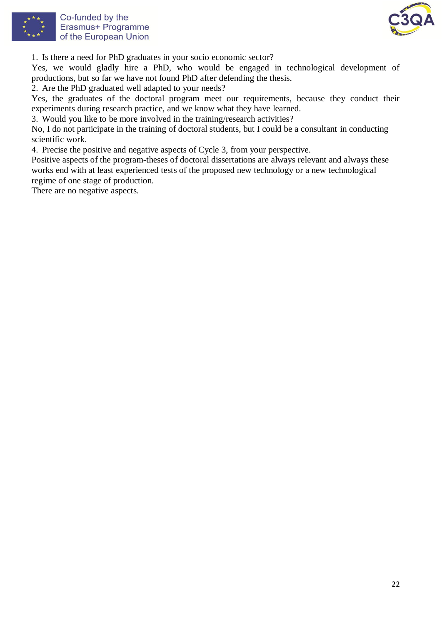



1. Is there a need for PhD graduates in your socio economic sector?

Yes, we would gladly hire a PhD, who would be engaged in technological development of productions, but so far we have not found PhD after defending the thesis.

2. Are the PhD graduated well adapted to your needs?

Yes, the graduates of the doctoral program meet our requirements, because they conduct their experiments during research practice, and we know what they have learned.

3. Would you like to be more involved in the training/research activities?

No, I do not participate in the training of doctoral students, but I could be a consultant in conducting scientific work.

4. Precise the positive and negative aspects of Cycle 3, from your perspective.

Positive aspects of the program-theses of doctoral dissertations are always relevant and always these works end with at least experienced tests of the proposed new technology or a new technological regime of one stage of production.

There are no negative aspects.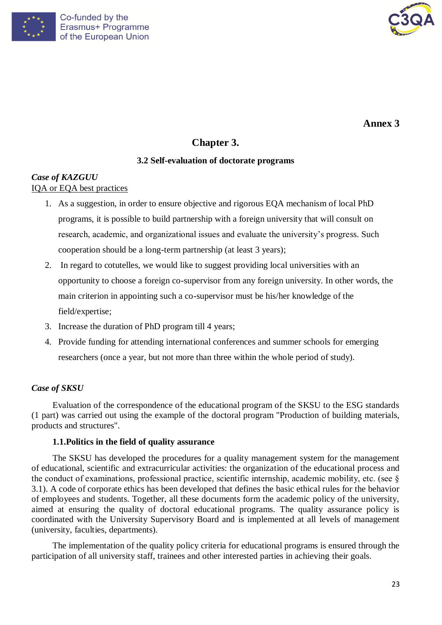



**Annex 3**

## **Chapter 3.**

## **3.2 Self-evaluation of doctorate programs**

## *Case of KAZGUU* IQA or EQA best practices

- 1. As a suggestion, in order to ensure objective and rigorous EQA mechanism of local PhD programs, it is possible to build partnership with a foreign university that will consult on research, academic, and organizational issues and evaluate the university's progress. Such cooperation should be a long-term partnership (at least 3 years);
- 2. In regard to cotutelles, we would like to suggest providing local universities with an opportunity to choose a foreign co-supervisor from any foreign university. In other words, the main criterion in appointing such a co-supervisor must be his/her knowledge of the field/expertise;
- 3. Increase the duration of PhD program till 4 years;
- 4. Provide funding for attending international conferences and summer schools for emerging researchers (once a year, but not more than three within the whole period of study).

## *Case of SKSU*

Evaluation of the correspondence of the educational program of the SKSU to the ESG standards (1 part) was carried out using the example of the doctoral program "Production of building materials, products and structures".

## **1.1.Politics in the field of quality assurance**

The SKSU has developed the procedures for a quality management system for the management of educational, scientific and extracurricular activities: the organization of the educational process and the conduct of examinations, professional practice, scientific internship, academic mobility, etc. (see § 3.1). A code of corporate ethics has been developed that defines the basic ethical rules for the behavior of employees and students. Together, all these documents form the academic policy of the university, aimed at ensuring the quality of doctoral educational programs. The quality assurance policy is coordinated with the University Supervisory Board and is implemented at all levels of management (university, faculties, departments).

The implementation of the quality policy criteria for educational programs is ensured through the participation of all university staff, trainees and other interested parties in achieving their goals.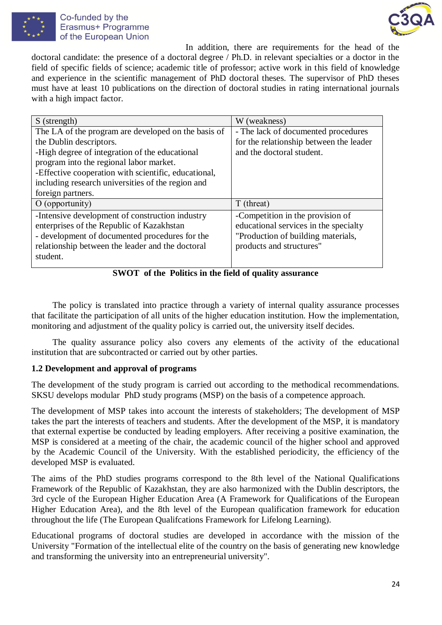



In addition, there are requirements for the head of the doctoral candidate: the presence of a doctoral degree / Ph.D. in relevant specialties or a doctor in the field of specific fields of science; academic title of professor; active work in this field of knowledge and experience in the scientific management of PhD doctoral theses. The supervisor of PhD theses must have at least 10 publications on the direction of doctoral studies in rating international journals with a high impact factor.

| S (strength)                                         | W (weakness)                            |
|------------------------------------------------------|-----------------------------------------|
| The LA of the program are developed on the basis of  | - The lack of documented procedures     |
| the Dublin descriptors.                              | for the relationship between the leader |
| -High degree of integration of the educational       | and the doctoral student.               |
| program into the regional labor market.              |                                         |
| -Effective cooperation with scientific, educational, |                                         |
| including research universities of the region and    |                                         |
| foreign partners.                                    |                                         |
| $O$ (opportunity)                                    | T (threat)                              |
| -Intensive development of construction industry      | -Competition in the provision of        |
| enterprises of the Republic of Kazakhstan            | educational services in the specialty   |
| - development of documented procedures for the       | "Production of building materials,      |
| relationship between the leader and the doctoral     | products and structures"                |
| student.                                             |                                         |
|                                                      |                                         |

**SWOT of the Politics in the field of quality assurance**

The policy is translated into practice through a variety of internal quality assurance processes that facilitate the participation of all units of the higher education institution. How the implementation, monitoring and adjustment of the quality policy is carried out, the university itself decides.

The quality assurance policy also covers any elements of the activity of the educational institution that are subcontracted or carried out by other parties.

## **1.2 Development and approval of programs**

The development of the study program is carried out according to the methodical recommendations. SKSU develops modular PhD study programs (MSP) on the basis of a competence approach.

The development of MSP takes into account the interests of stakeholders; The development of MSP takes the part the interests of teachers and students. After the development of the MSP, it is mandatory that external expertise be conducted by leading employers. After receiving a positive examination, the MSP is considered at a meeting of the chair, the academic council of the higher school and approved by the Academic Council of the University. With the established periodicity, the efficiency of the developed MSP is evaluated.

The aims of the PhD studies programs correspond to the 8th level of the National Qualifications Framework of the Republic of Kazakhstan, they are also harmonized with the Dublin descriptors, the 3rd cycle of the European Higher Education Area (A Framework for Qualifications of the European Higher Education Area), and the 8th level of the European qualification framework for education throughout the life (The European Qualifcations Framework for Lifelong Learning).

Educational programs of doctoral studies are developed in accordance with the mission of the University "Formation of the intellectual elite of the country on the basis of generating new knowledge and transforming the university into an entrepreneurial university".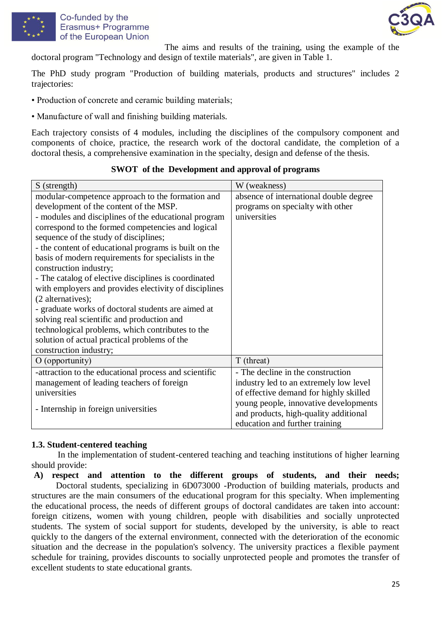

## Co-funded by the Erasmus+ Programme of the European Union



The aims and results of the training, using the example of the doctoral program "Technology and design of textile materials", are given in Table 1.

The PhD study program "Production of building materials, products and structures" includes 2 trajectories:

- Production of concrete and ceramic building materials;
- Manufacture of wall and finishing building materials.

Each trajectory consists of 4 modules, including the disciplines of the compulsory component and components of choice, practice, the research work of the doctoral candidate, the completion of a doctoral thesis, a comprehensive examination in the specialty, design and defense of the thesis.

#### S (strength) W (weakness) modular-competence approach to the formation and development of the content of the MSP. - modules and disciplines of the educational program correspond to the formed competencies and logical sequence of the study of disciplines; - the content of educational programs is built on the basis of modern requirements for specialists in the construction industry; - The catalog of elective disciplines is coordinated with employers and provides electivity of disciplines (2 alternatives); - graduate works of doctoral students are aimed at solving real scientific and production and technological problems, which contributes to the solution of actual practical problems of the construction industry; absence of international double degree programs on specialty with other universities  $\overline{O}$  (opportunity)  $\overline{I}$  (threat) -attraction to the educational process and scientific management of leading teachers of foreign universities - Internship in foreign universities - The decline in the construction industry led to an extremely low level of effective demand for highly skilled young people, innovative developments and products, high-quality additional education and further training

## **SWOT of the Development and approval of programs**

## **1.3. Student-centered teaching**

In the implementation of student-centered teaching and teaching institutions of higher learning should provide:

**A) respect and attention to the different groups of students, and their needs;** Doctoral students, specializing in 6D073000 -Production of building materials, products and structures are the main consumers of the educational program for this specialty. When implementing the educational process, the needs of different groups of doctoral candidates are taken into account: foreign citizens, women with young children, people with disabilities and socially unprotected students. The system of social support for students, developed by the university, is able to react quickly to the dangers of the external environment, connected with the deterioration of the economic situation and the decrease in the population's solvency. The university practices a flexible payment schedule for training, provides discounts to socially unprotected people and promotes the transfer of excellent students to state educational grants.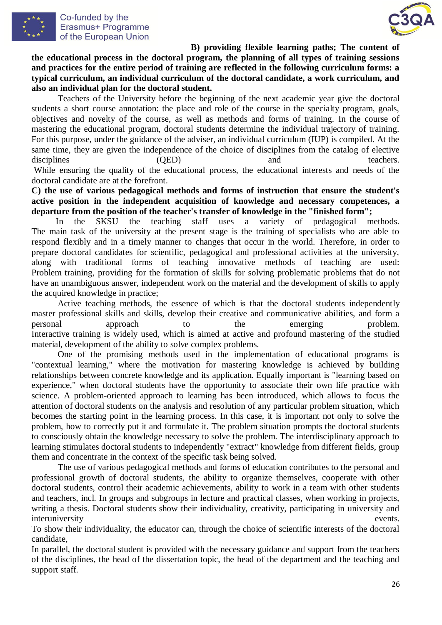



**B) providing flexible learning paths; The content of the educational process in the doctoral program, the planning of all types of training sessions and practices for the entire period of training are reflected in the following curriculum forms: a typical curriculum, an individual curriculum of the doctoral candidate, a work curriculum, and also an individual plan for the doctoral student.**

Teachers of the University before the beginning of the next academic year give the doctoral students a short course annotation: the place and role of the course in the specialty program, goals, objectives and novelty of the course, as well as methods and forms of training. In the course of mastering the educational program, doctoral students determine the individual trajectory of training. For this purpose, under the guidance of the adviser, an individual curriculum (IUP) is compiled. At the same time, they are given the independence of the choice of disciplines from the catalog of elective disciplines (QED) and teachers. While ensuring the quality of the educational process, the educational interests and needs of the

doctoral candidate are at the forefront.

**C) the use of various pedagogical methods and forms of instruction that ensure the student's active position in the independent acquisition of knowledge and necessary competences, a departure from the position of the teacher's transfer of knowledge in the "finished form";**

In the SKSU the teaching staff uses a variety of pedagogical methods. The main task of the university at the present stage is the training of specialists who are able to respond flexibly and in a timely manner to changes that occur in the world. Therefore, in order to prepare doctoral candidates for scientific, pedagogical and professional activities at the university, along with traditional forms of teaching innovative methods of teaching are used: Problem training, providing for the formation of skills for solving problematic problems that do not have an unambiguous answer, independent work on the material and the development of skills to apply the acquired knowledge in practice;

Active teaching methods, the essence of which is that the doctoral students independently master professional skills and skills, develop their creative and communicative abilities, and form a personal approach to the emerging problem. Interactive training is widely used, which is aimed at active and profound mastering of the studied material, development of the ability to solve complex problems.

One of the promising methods used in the implementation of educational programs is "contextual learning," where the motivation for mastering knowledge is achieved by building relationships between concrete knowledge and its application. Equally important is "learning based on experience," when doctoral students have the opportunity to associate their own life practice with science. A problem-oriented approach to learning has been introduced, which allows to focus the attention of doctoral students on the analysis and resolution of any particular problem situation, which becomes the starting point in the learning process. In this case, it is important not only to solve the problem, how to correctly put it and formulate it. The problem situation prompts the doctoral students to consciously obtain the knowledge necessary to solve the problem. The interdisciplinary approach to learning stimulates doctoral students to independently "extract" knowledge from different fields, group them and concentrate in the context of the specific task being solved.

The use of various pedagogical methods and forms of education contributes to the personal and professional growth of doctoral students, the ability to organize themselves, cooperate with other doctoral students, control their academic achievements, ability to work in a team with other students and teachers, incl. In groups and subgroups in lecture and practical classes, when working in projects, writing a thesis. Doctoral students show their individuality, creativity, participating in university and interuniversity events.

To show their individuality, the educator can, through the choice of scientific interests of the doctoral candidate,

In parallel, the doctoral student is provided with the necessary guidance and support from the teachers of the disciplines, the head of the dissertation topic, the head of the department and the teaching and support staff.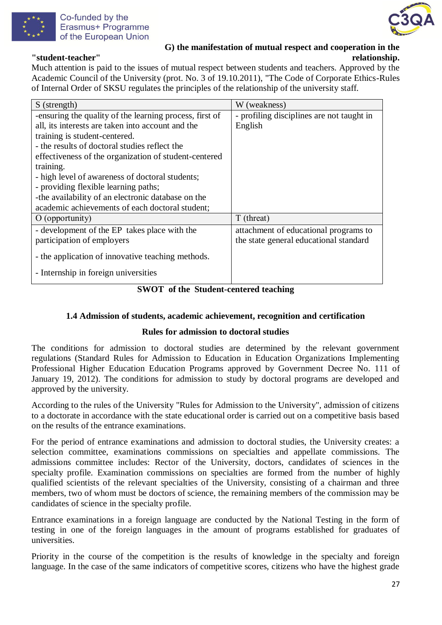



**G) the manifestation of mutual respect and cooperation in the "student-teacher" relationship.**

Much attention is paid to the issues of mutual respect between students and teachers. Approved by the Academic Council of the University (prot. No. 3 of 19.10.2011), "The Code of Corporate Ethics-Rules of Internal Order of SKSU regulates the principles of the relationship of the university staff.

| S (strength)                                            | W (weakness)                              |
|---------------------------------------------------------|-------------------------------------------|
| -ensuring the quality of the learning process, first of | - profiling disciplines are not taught in |
| all, its interests are taken into account and the       | English                                   |
| training is student-centered.                           |                                           |
| - the results of doctoral studies reflect the           |                                           |
| effectiveness of the organization of student-centered   |                                           |
| training.                                               |                                           |
| - high level of awareness of doctoral students;         |                                           |
| - providing flexible learning paths;                    |                                           |
| -the availability of an electronic database on the      |                                           |
| academic achievements of each doctoral student;         |                                           |
| $O$ (opportunity)                                       | T (threat)                                |
| - development of the EP takes place with the            | attachment of educational programs to     |
| participation of employers                              | the state general educational standard    |
| - the application of innovative teaching methods.       |                                           |
| - Internship in foreign universities                    |                                           |

## **SWOT of the Student-centered teaching**

## **1.4 Admission of students, academic achievement, recognition and certification**

## **Rules for admission to doctoral studies**

The conditions for admission to doctoral studies are determined by the relevant government regulations (Standard Rules for Admission to Education in Education Organizations Implementing Professional Higher Education Education Programs approved by Government Decree No. 111 of January 19, 2012). The conditions for admission to study by doctoral programs are developed and approved by the university.

According to the rules of the University "Rules for Admission to the University", admission of citizens to a doctorate in accordance with the state educational order is carried out on a competitive basis based on the results of the entrance examinations.

For the period of entrance examinations and admission to doctoral studies, the University creates: a selection committee, examinations commissions on specialties and appellate commissions. The admissions committee includes: Rector of the University, doctors, candidates of sciences in the specialty profile. Examination commissions on specialties are formed from the number of highly qualified scientists of the relevant specialties of the University, consisting of a chairman and three members, two of whom must be doctors of science, the remaining members of the commission may be candidates of science in the specialty profile.

Entrance examinations in a foreign language are conducted by the National Testing in the form of testing in one of the foreign languages in the amount of programs established for graduates of universities.

Priority in the course of the competition is the results of knowledge in the specialty and foreign language. In the case of the same indicators of competitive scores, citizens who have the highest grade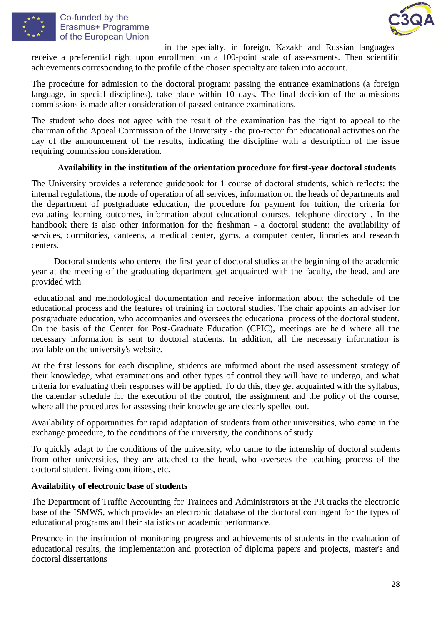

## Co-funded by the Erasmus+ Programme of the European Union



in the specialty, in foreign, Kazakh and Russian languages

receive a preferential right upon enrollment on a 100-point scale of assessments. Then scientific achievements corresponding to the profile of the chosen specialty are taken into account.

The procedure for admission to the doctoral program: passing the entrance examinations (a foreign language, in special disciplines), take place within 10 days. The final decision of the admissions commissions is made after consideration of passed entrance examinations.

The student who does not agree with the result of the examination has the right to appeal to the chairman of the Appeal Commission of the University - the pro-rector for educational activities on the day of the announcement of the results, indicating the discipline with a description of the issue requiring commission consideration.

## **Availability in the institution of the orientation procedure for first-year doctoral students**

The University provides a reference guidebook for 1 course of doctoral students, which reflects: the internal regulations, the mode of operation of all services, information on the heads of departments and the department of postgraduate education, the procedure for payment for tuition, the criteria for evaluating learning outcomes, information about educational courses, telephone directory . In the handbook there is also other information for the freshman - a doctoral student: the availability of services, dormitories, canteens, a medical center, gyms, a computer center, libraries and research centers.

 Doctoral students who entered the first year of doctoral studies at the beginning of the academic year at the meeting of the graduating department get acquainted with the faculty, the head, and are provided with

educational and methodological documentation and receive information about the schedule of the educational process and the features of training in doctoral studies. The chair appoints an adviser for postgraduate education, who accompanies and oversees the educational process of the doctoral student. On the basis of the Center for Post-Graduate Education (CPIC), meetings are held where all the necessary information is sent to doctoral students. In addition, all the necessary information is available on the university's website.

At the first lessons for each discipline, students are informed about the used assessment strategy of their knowledge, what examinations and other types of control they will have to undergo, and what criteria for evaluating their responses will be applied. To do this, they get acquainted with the syllabus, the calendar schedule for the execution of the control, the assignment and the policy of the course, where all the procedures for assessing their knowledge are clearly spelled out.

Availability of opportunities for rapid adaptation of students from other universities, who came in the exchange procedure, to the conditions of the university, the conditions of study

To quickly adapt to the conditions of the university, who came to the internship of doctoral students from other universities, they are attached to the head, who oversees the teaching process of the doctoral student, living conditions, etc.

#### **Availability of electronic base of students**

The Department of Traffic Accounting for Trainees and Administrators at the PR tracks the electronic base of the ISMWS, which provides an electronic database of the doctoral contingent for the types of educational programs and their statistics on academic performance.

Presence in the institution of monitoring progress and achievements of students in the evaluation of educational results, the implementation and protection of diploma papers and projects, master's and doctoral dissertations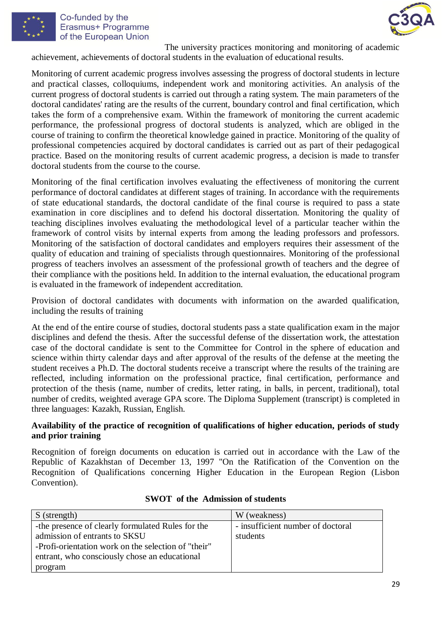

### Co-funded by the Erasmus+ Programme of the European Union



The university practices monitoring and monitoring of academic achievement, achievements of doctoral students in the evaluation of educational results.

Monitoring of current academic progress involves assessing the progress of doctoral students in lecture and practical classes, colloquiums, independent work and monitoring activities. An analysis of the current progress of doctoral students is carried out through a rating system. The main parameters of the doctoral candidates' rating are the results of the current, boundary control and final certification, which takes the form of a comprehensive exam. Within the framework of monitoring the current academic performance, the professional progress of doctoral students is analyzed, which are obliged in the course of training to confirm the theoretical knowledge gained in practice. Monitoring of the quality of professional competencies acquired by doctoral candidates is carried out as part of their pedagogical practice. Based on the monitoring results of current academic progress, a decision is made to transfer doctoral students from the course to the course.

Monitoring of the final certification involves evaluating the effectiveness of monitoring the current performance of doctoral candidates at different stages of training. In accordance with the requirements of state educational standards, the doctoral candidate of the final course is required to pass a state examination in core disciplines and to defend his doctoral dissertation. Monitoring the quality of teaching disciplines involves evaluating the methodological level of a particular teacher within the framework of control visits by internal experts from among the leading professors and professors. Monitoring of the satisfaction of doctoral candidates and employers requires their assessment of the quality of education and training of specialists through questionnaires. Monitoring of the professional progress of teachers involves an assessment of the professional growth of teachers and the degree of their compliance with the positions held. In addition to the internal evaluation, the educational program is evaluated in the framework of independent accreditation.

Provision of doctoral candidates with documents with information on the awarded qualification, including the results of training

At the end of the entire course of studies, doctoral students pass a state qualification exam in the major disciplines and defend the thesis. After the successful defense of the dissertation work, the attestation case of the doctoral candidate is sent to the Committee for Control in the sphere of education and science within thirty calendar days and after approval of the results of the defense at the meeting the student receives a Ph.D. The doctoral students receive a transcript where the results of the training are reflected, including information on the professional practice, final certification, performance and protection of the thesis (name, number of credits, letter rating, in balls, in percent, traditional), total number of credits, weighted average GPA score. The Diploma Supplement (transcript) is completed in three languages: Kazakh, Russian, English.

### **Availability of the practice of recognition of qualifications of higher education, periods of study and prior training**

Recognition of foreign documents on education is carried out in accordance with the Law of the Republic of Kazakhstan of December 13, 1997 "On the Ratification of the Convention on the Recognition of Qualifications concerning Higher Education in the European Region (Lisbon Convention).

| S (strength)                                        | W (weakness)                      |
|-----------------------------------------------------|-----------------------------------|
| -the presence of clearly formulated Rules for the   | - insufficient number of doctoral |
| admission of entrants to SKSU                       | students                          |
| -Profi-orientation work on the selection of "their" |                                   |
| entrant, who consciously chose an educational       |                                   |
| program                                             |                                   |

## **SWOT of the Admission of students**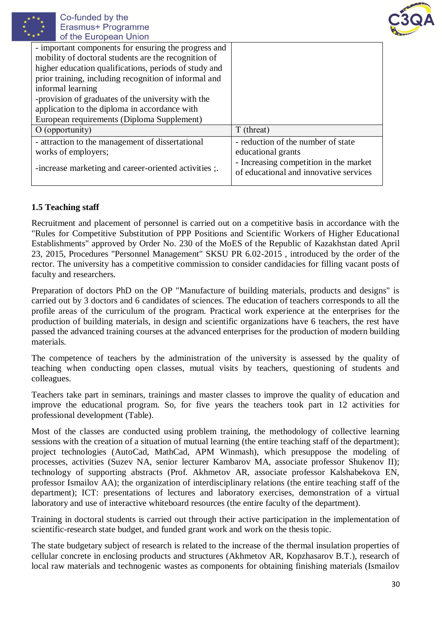



| - important components for ensuring the progress and  |                                                                                  |
|-------------------------------------------------------|----------------------------------------------------------------------------------|
| mobility of doctoral students are the recognition of  |                                                                                  |
| higher education qualifications, periods of study and |                                                                                  |
| prior training, including recognition of informal and |                                                                                  |
| informal learning                                     |                                                                                  |
| -provision of graduates of the university with the    |                                                                                  |
| application to the diploma in accordance with         |                                                                                  |
| European requirements (Diploma Supplement)            |                                                                                  |
| $O$ (opportunity)                                     | T (threat)                                                                       |
| - attraction to the management of dissertational      | - reduction of the number of state                                               |
| works of employers;                                   | educational grants                                                               |
| -increase marketing and career-oriented activities ;. | - Increasing competition in the market<br>of educational and innovative services |
|                                                       |                                                                                  |

## **1.5 Teaching staff**

Recruitment and placement of personnel is carried out on a competitive basis in accordance with the "Rules for Competitive Substitution of PPP Positions and Scientific Workers of Higher Educational Establishments" approved by Order No. 230 of the MoES of the Republic of Kazakhstan dated April 23, 2015, Procedures "Personnel Management" SKSU PR 6.02-2015 , introduced by the order of the rector. The university has a competitive commission to consider candidacies for filling vacant posts of faculty and researchers.

Preparation of doctors PhD on the OP "Manufacture of building materials, products and designs" is carried out by 3 doctors and 6 candidates of sciences. The education of teachers corresponds to all the profile areas of the curriculum of the program. Practical work experience at the enterprises for the production of building materials, in design and scientific organizations have 6 teachers, the rest have passed the advanced training courses at the advanced enterprises for the production of modern building materials.

The competence of teachers by the administration of the university is assessed by the quality of teaching when conducting open classes, mutual visits by teachers, questioning of students and colleagues.

Teachers take part in seminars, trainings and master classes to improve the quality of education and improve the educational program. So, for five years the teachers took part in 12 activities for professional development (Table).

Most of the classes are conducted using problem training, the methodology of collective learning sessions with the creation of a situation of mutual learning (the entire teaching staff of the department); project technologies (AutoCad, MathCad, APM Winmash), which presuppose the modeling of processes, activities (Suzev NA, senior lecturer Kambarov MA, associate professor Shukenov II); technology of supporting abstracts (Prof. Akhmetov AR, associate professor Kalshabekova EN, professor Ismailov AA); the organization of interdisciplinary relations (the entire teaching staff of the department); ICT: presentations of lectures and laboratory exercises, demonstration of a virtual laboratory and use of interactive whiteboard resources (the entire faculty of the department).

Training in doctoral students is carried out through their active participation in the implementation of scientific-research state budget, and funded grant work and work on the thesis topic.

The state budgetary subject of research is related to the increase of the thermal insulation properties of cellular concrete in enclosing products and structures (Akhmetov AR, Kopzhasarov B.T.), research of local raw materials and technogenic wastes as components for obtaining finishing materials (Ismailov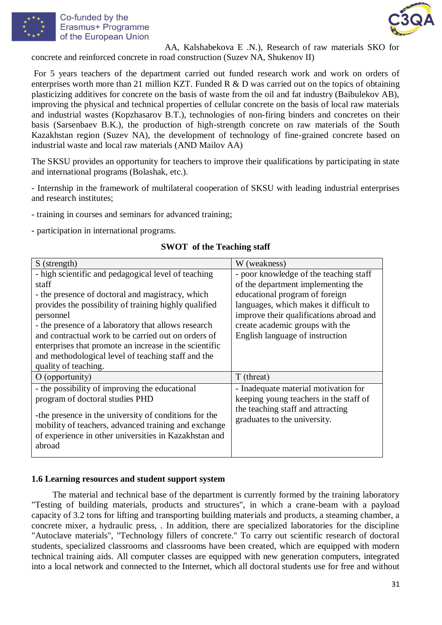



AA, Kalshabekova E .N.), Research of raw materials SKO for concrete and reinforced concrete in road construction (Suzev NA, Shukenov II)

For 5 years teachers of the department carried out funded research work and work on orders of enterprises worth more than 21 million KZT. Funded R & D was carried out on the topics of obtaining plasticizing additives for concrete on the basis of waste from the oil and fat industry (Baibulekov AB), improving the physical and technical properties of cellular concrete on the basis of local raw materials and industrial wastes (Kopzhasarov B.T.), technologies of non-firing binders and concretes on their basis (Sarsenbaev B.K.), the production of high-strength concrete on raw materials of the South Kazakhstan region (Suzev NA), the development of technology of fine-grained concrete based on industrial waste and local raw materials (AND Mailov AA)

The SKSU provides an opportunity for teachers to improve their qualifications by participating in state and international programs (Bolashak, etc.).

- Internship in the framework of multilateral cooperation of SKSU with leading industrial enterprises and research institutes;

- training in courses and seminars for advanced training;

- participation in international programs.

| S (strength)                                                                                                  | W (weakness)                                                      |  |
|---------------------------------------------------------------------------------------------------------------|-------------------------------------------------------------------|--|
| - high scientific and pedagogical level of teaching                                                           | - poor knowledge of the teaching staff                            |  |
| staff                                                                                                         | of the department implementing the                                |  |
| - the presence of doctoral and magistracy, which                                                              | educational program of foreign                                    |  |
| provides the possibility of training highly qualified                                                         | languages, which makes it difficult to                            |  |
| personnel                                                                                                     | improve their qualifications abroad and                           |  |
| - the presence of a laboratory that allows research                                                           | create academic groups with the                                   |  |
| and contractual work to be carried out on orders of                                                           | English language of instruction                                   |  |
| enterprises that promote an increase in the scientific                                                        |                                                                   |  |
| and methodological level of teaching staff and the                                                            |                                                                   |  |
| quality of teaching.                                                                                          |                                                                   |  |
| $O$ (opportunity)                                                                                             | T (threat)                                                        |  |
| - the possibility of improving the educational                                                                | - Inadequate material motivation for                              |  |
| program of doctoral studies PHD                                                                               | keeping young teachers in the staff of                            |  |
| -the presence in the university of conditions for the<br>mobility of teachers, advanced training and exchange | the teaching staff and attracting<br>graduates to the university. |  |
| of experience in other universities in Kazakhstan and                                                         |                                                                   |  |
| abroad                                                                                                        |                                                                   |  |

## **SWOT of the Teaching staff**

## **1.6 Learning resources and student support system**

The material and technical base of the department is currently formed by the training laboratory "Testing of building materials, products and structures", in which a crane-beam with a payload capacity of 3.2 tons for lifting and transporting building materials and products, a steaming chamber, a concrete mixer, a hydraulic press, . In addition, there are specialized laboratories for the discipline "Autoclave materials", "Technology fillers of concrete." To carry out scientific research of doctoral students, specialized classrooms and classrooms have been created, which are equipped with modern technical training aids. All computer classes are equipped with new generation computers, integrated into a local network and connected to the Internet, which all doctoral students use for free and without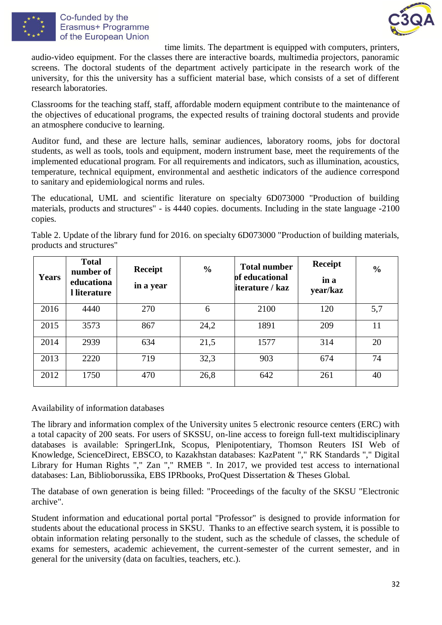



time limits. The department is equipped with computers, printers, audio-video equipment. For the classes there are interactive boards, multimedia projectors, panoramic screens. The doctoral students of the department actively participate in the research work of the university, for this the university has a sufficient material base, which consists of a set of different research laboratories.

Classrooms for the teaching staff, staff, affordable modern equipment contribute to the maintenance of the objectives of educational programs, the expected results of training doctoral students and provide an atmosphere conducive to learning.

Auditor fund, and these are lecture halls, seminar audiences, laboratory rooms, jobs for doctoral students, as well as tools, tools and equipment, modern instrument base, meet the requirements of the implemented educational program. For all requirements and indicators, such as illumination, acoustics, temperature, technical equipment, environmental and aesthetic indicators of the audience correspond to sanitary and epidemiological norms and rules.

The educational, UML and scientific literature on specialty 6D073000 "Production of building materials, products and structures" - is 4440 copies. documents. Including in the state language -2100 copies.

Table 2. Update of the library fund for 2016. on specialty 6D073000 "Production of building materials, products and structures"

|              | <b>Total</b><br>number of  | Receipt   | $\frac{0}{0}$ | <b>Total number</b>               | <b>Receipt</b>   | $\frac{0}{0}$ |
|--------------|----------------------------|-----------|---------------|-----------------------------------|------------------|---------------|
| <b>Years</b> | educationa<br>l literature | in a year |               | of educational<br>iterature / kaz | in a<br>year/kaz |               |
| 2016         | 4440                       | 270       | 6             | 2100                              | 120              | 5,7           |
| 2015         | 3573                       | 867       | 24,2          | 1891                              | 209              | 11            |
| 2014         | 2939                       | 634       | 21,5          | 1577                              | 314              | 20            |
| 2013         | 2220                       | 719       | 32,3          | 903                               | 674              | 74            |
| 2012         | 1750                       | 470       | 26,8          | 642                               | 261              | 40            |

Availability of information databases

The library and information complex of the University unites 5 electronic resource centers (ERC) with a total capacity of 200 seats. For users of SKSSU, on-line access to foreign full-text multidisciplinary databases is available: SpringerLInk, Scopus, Plenipotentiary, Thomson Reuters ISI Web of Knowledge, ScienceDirect, EBSCO, to Kazakhstan databases: KazPatent "," RK Standards "," Digital Library for Human Rights "," Zan "," RMEB ". In 2017, we provided test access to international databases: Lan, Biblioborussika, EBS IPRbooks, ProQuest Dissertation & Theses Global.

The database of own generation is being filled: "Proceedings of the faculty of the SKSU "Electronic archive".

Student information and educational portal portal "Professor" is designed to provide information for students about the educational process in SKSU. Thanks to an effective search system, it is possible to obtain information relating personally to the student, such as the schedule of classes, the schedule of exams for semesters, academic achievement, the current-semester of the current semester, and in general for the university (data on faculties, teachers, etc.).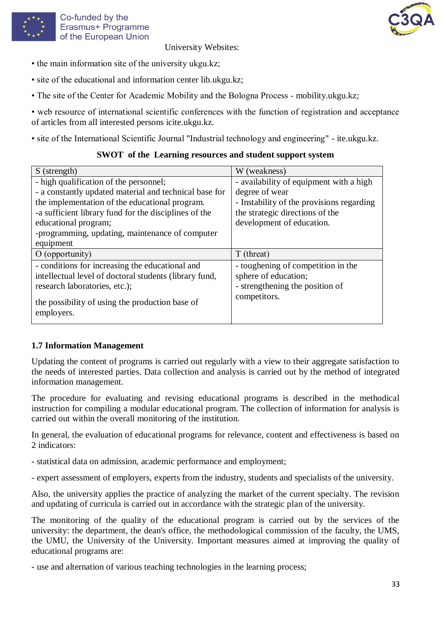

University Websites:

- the main information site of the university ukgu.kz;
- site of the educational and information center lib.ukgu.kz;
- The site of the Center for Academic Mobility and the Bologna Process mobility.ukgu.kz;

• web resource of international scientific conferences with the function of registration and acceptance of articles from all interested persons icite.ukgu.kz.

• site of the International Scientific Journal "Industrial technology and engineering" - ite.ukgu.kz.

### **SWOT of the Learning resources and student support system**

| S (strength)                                                  | W (weakness)                              |
|---------------------------------------------------------------|-------------------------------------------|
| - high qualification of the personnel;                        | - availability of equipment with a high   |
| - a constantly updated material and technical base for        | degree of wear                            |
| the implementation of the educational program.                | - Instability of the provisions regarding |
| -a sufficient library fund for the disciplines of the         | the strategic directions of the           |
| educational program;                                          | development of education.                 |
| -programming, updating, maintenance of computer               |                                           |
| equipment                                                     |                                           |
| $O$ (opportunity)                                             | T (threat)                                |
| - conditions for increasing the educational and               | - toughening of competition in the        |
| intellectual level of doctoral students (library fund,        | sphere of education;                      |
| research laboratories, etc.);                                 | - strengthening the position of           |
| the possibility of using the production base of<br>employers. | competitors.                              |

## **1.7 Information Management**

Updating the content of programs is carried out regularly with a view to their aggregate satisfaction to the needs of interested parties. Data collection and analysis is carried out by the method of integrated information management.

The procedure for evaluating and revising educational programs is described in the methodical instruction for compiling a modular educational program. The collection of information for analysis is carried out within the overall monitoring of the institution.

In general, the evaluation of educational programs for relevance, content and effectiveness is based on 2 indicators:

- statistical data on admission, academic performance and employment;

- expert assessment of employers, experts from the industry, students and specialists of the university.

Also, the university applies the practice of analyzing the market of the current specialty. The revision and updating of curricula is carried out in accordance with the strategic plan of the university.

The monitoring of the quality of the educational program is carried out by the services of the university: the department, the dean's office, the methodological commission of the faculty, the UMS, the UMU, the University of the University. Important measures aimed at improving the quality of educational programs are:

- use and alternation of various teaching technologies in the learning process;

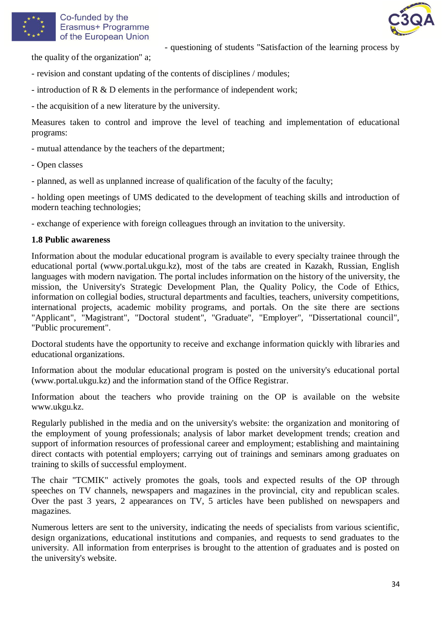



the quality of the organization" a;

- revision and constant updating of the contents of disciplines / modules;
- introduction of R & D elements in the performance of independent work;
- the acquisition of a new literature by the university.

Measures taken to control and improve the level of teaching and implementation of educational programs:

- questioning of students "Satisfaction of the learning process by

- mutual attendance by the teachers of the department;
- Open classes
- planned, as well as unplanned increase of qualification of the faculty of the faculty;

- holding open meetings of UMS dedicated to the development of teaching skills and introduction of modern teaching technologies;

- exchange of experience with foreign colleagues through an invitation to the university.

#### **1.8 Public awareness**

Information about the modular educational program is available to every specialty trainee through the educational portal (www.portal.ukgu.kz), most of the tabs are created in Kazakh, Russian, English languages with modern navigation. The portal includes information on the history of the university, the mission, the University's Strategic Development Plan, the Quality Policy, the Code of Ethics, information on collegial bodies, structural departments and faculties, teachers, university competitions, international projects, academic mobility programs, and portals. On the site there are sections "Applicant", "Magistrant", "Doctoral student", "Graduate", "Employer", "Dissertational council", "Public procurement".

Doctoral students have the opportunity to receive and exchange information quickly with libraries and educational organizations.

Information about the modular educational program is posted on the university's educational portal (www.portal.ukgu.kz) and the information stand of the Office Registrar.

Information about the teachers who provide training on the OP is available on the website www.ukgu.kz.

Regularly published in the media and on the university's website: the organization and monitoring of the employment of young professionals; analysis of labor market development trends; creation and support of information resources of professional career and employment; establishing and maintaining direct contacts with potential employers; carrying out of trainings and seminars among graduates on training to skills of successful employment.

The chair "TCMIK" actively promotes the goals, tools and expected results of the OP through speeches on TV channels, newspapers and magazines in the provincial, city and republican scales. Over the past 3 years, 2 appearances on TV, 5 articles have been published on newspapers and magazines.

Numerous letters are sent to the university, indicating the needs of specialists from various scientific, design organizations, educational institutions and companies, and requests to send graduates to the university. All information from enterprises is brought to the attention of graduates and is posted on the university's website.